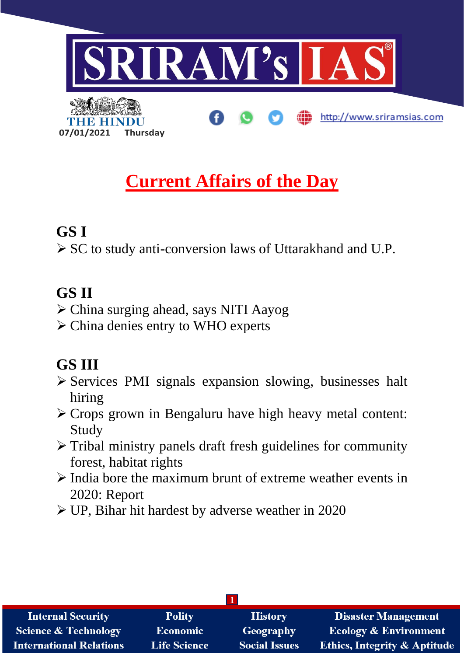

# **Current Affairs of the Day**

## **GS I**

➢ SC to study anti-conversion laws of Uttarakhand and U.P.

## **GS II**

- ➢ China surging ahead, says NITI Aayog
- ➢ China denies entry to WHO experts

## **GS III**

- ➢ Services PMI signals expansion slowing, businesses halt hiring
- ➢ Crops grown in Bengaluru have high heavy metal content: Study
- ➢ Tribal ministry panels draft fresh guidelines for community forest, habitat rights
- ➢ India bore the maximum brunt of extreme weather events in 2020: Report
- ➢ UP, Bihar hit hardest by adverse weather in 2020

| <b>Internal Security</b>        | <b>Polity</b>       | <b>History</b>       | <b>Disaster Management</b>              |
|---------------------------------|---------------------|----------------------|-----------------------------------------|
| <b>Science &amp; Technology</b> | <b>Economic</b>     | Geography            | <b>Ecology &amp; Environment</b>        |
| <b>International Relations</b>  | <b>Life Science</b> | <b>Social Issues</b> | <b>Ethics, Integrity &amp; Aptitude</b> |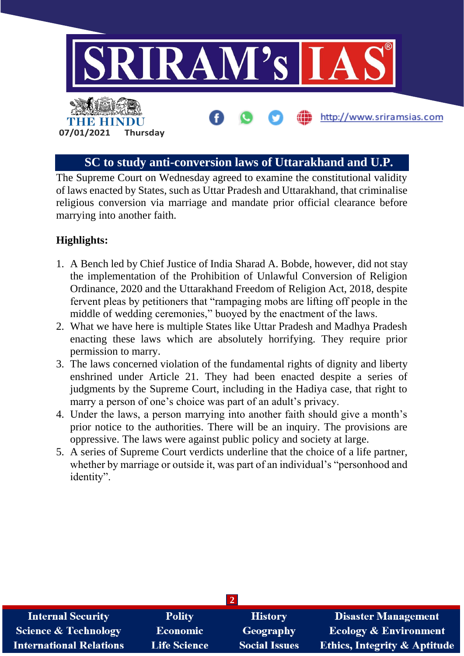

### **SC to study anti-conversion laws of Uttarakhand and U.P.**

The Supreme Court on Wednesday agreed to examine the constitutional validity of laws enacted by States, such as Uttar Pradesh and Uttarakhand, that criminalise religious conversion via marriage and mandate prior official clearance before marrying into another faith.

- 1. A Bench led by Chief Justice of India Sharad A. Bobde, however, did not stay the implementation of the Prohibition of Unlawful Conversion of Religion Ordinance, 2020 and the Uttarakhand Freedom of Religion Act, 2018, despite fervent pleas by petitioners that "rampaging mobs are lifting off people in the middle of wedding ceremonies," buoyed by the enactment of the laws.
- 2. What we have here is multiple States like Uttar Pradesh and Madhya Pradesh enacting these laws which are absolutely horrifying. They require prior permission to marry.
- 3. The laws concerned violation of the fundamental rights of dignity and liberty enshrined under Article 21. They had been enacted despite a series of judgments by the Supreme Court, including in the Hadiya case, that right to marry a person of one's choice was part of an adult's privacy.
- 4. Under the laws, a person marrying into another faith should give a month's prior notice to the authorities. There will be an inquiry. The provisions are oppressive. The laws were against public policy and society at large.
- 5. A series of Supreme Court verdicts underline that the choice of a life partner, whether by marriage or outside it, was part of an individual's "personhood and identity".

| <b>Internal Security</b>        | <b>Polity</b>       | <b>History</b>       | <b>Disaster Management</b>              |
|---------------------------------|---------------------|----------------------|-----------------------------------------|
| <b>Science &amp; Technology</b> | <b>Economic</b>     | <b>Geography</b>     | <b>Ecology &amp; Environment</b>        |
| <b>International Relations</b>  | <b>Life Science</b> | <b>Social Issues</b> | <b>Ethics, Integrity &amp; Aptitude</b> |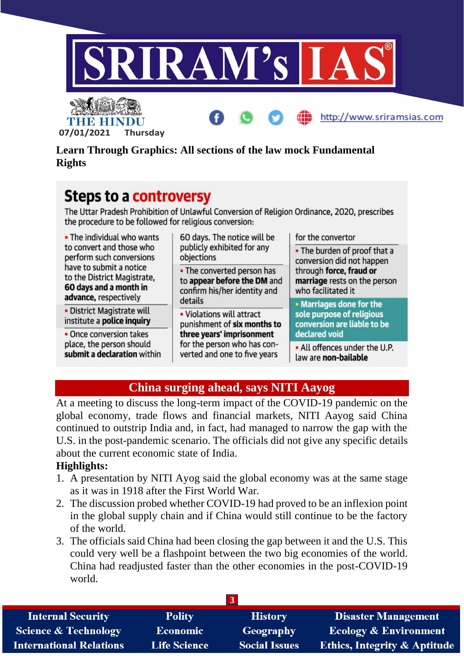

http://www.sriramsias.com



**Learn Through Graphics: All sections of the law mock Fundamental Rights**

## **Steps to a controversy**

The Uttar Pradesh Prohibition of Unlawful Conversion of Religion Ordinance, 2020, prescribes the procedure to be followed for religious conversion:

| . The individual who wants                                                                                                                                        | 60 days. The notice will be                                                               | for the convertor                                                             |
|-------------------------------------------------------------------------------------------------------------------------------------------------------------------|-------------------------------------------------------------------------------------------|-------------------------------------------------------------------------------|
| to convert and those who<br>perform such conversions<br>have to submit a notice<br>to the District Magistrate,<br>60 days and a month in<br>advance, respectively | publicly exhibited for any<br>objections                                                  | • The burden of proof that a<br>conversion did not happen                     |
|                                                                                                                                                                   | . The converted person has<br>to appear before the DM and<br>confirm his/her identity and | through force, fraud or<br>marriage rests on the person<br>who facilitated it |
|                                                                                                                                                                   | details                                                                                   | • Marriages done for the                                                      |
| · District Magistrate will<br>institute a police inquiry                                                                                                          | . Violations will attract<br>punishment of six months to                                  | sole purpose of religious<br>conversion are liable to be                      |
| • Once conversion takes<br>place, the person should<br>submit a declaration within                                                                                | three years' imprisonment<br>for the person who has con-<br>verted and one to five years  | declared void                                                                 |
|                                                                                                                                                                   |                                                                                           | . All offences under the U.P.<br>law are non-bailable                         |

## **China surging ahead, says NITI Aayog**

At a meeting to discuss the long-term impact of the COVID-19 pandemic on the global economy, trade flows and financial markets, NITI Aayog said China continued to outstrip India and, in fact, had managed to narrow the gap with the U.S. in the post-pandemic scenario. The officials did not give any specific details about the current economic state of India.

- 1. A presentation by NITI Ayog said the global economy was at the same stage as it was in 1918 after the First World War.
- 2. The discussion probed whether COVID-19 had proved to be an inflexion point in the global supply chain and if China would still continue to be the factory of the world.
- 3. The officials said China had been closing the gap between it and the U.S. This could very well be a flashpoint between the two big economies of the world. China had readjusted faster than the other economies in the post-COVID-19 world.

| G                               |                     |                      |                                         |
|---------------------------------|---------------------|----------------------|-----------------------------------------|
| <b>Internal Security</b>        | <b>Polity</b>       | <b>History</b>       | <b>Disaster Management</b>              |
| <b>Science &amp; Technology</b> | <b>Economic</b>     | Geography            | <b>Ecology &amp; Environment</b>        |
| <b>International Relations</b>  | <b>Life Science</b> | <b>Social Issues</b> | <b>Ethics, Integrity &amp; Aptitude</b> |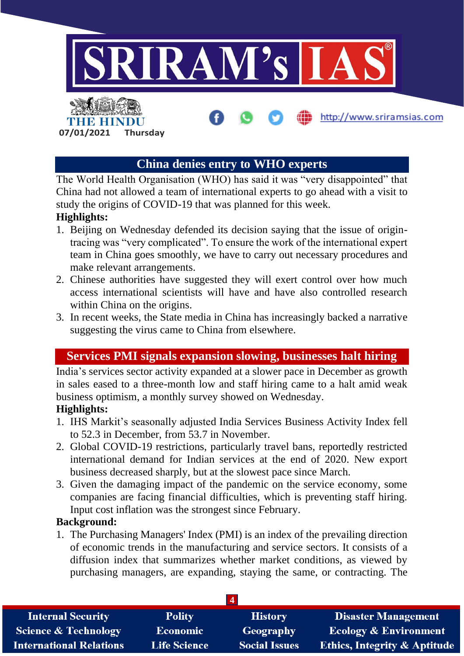

### **China denies entry to WHO experts**

The World Health Organisation (WHO) has said it was "very disappointed" that China had not allowed a team of international experts to go ahead with a visit to study the origins of COVID-19 that was planned for this week.

#### **Highlights:**

- 1. Beijing on Wednesday defended its decision saying that the issue of origintracing was "very complicated". To ensure the work of the international expert team in China goes smoothly, we have to carry out necessary procedures and make relevant arrangements.
- 2. Chinese authorities have suggested they will exert control over how much access international scientists will have and have also controlled research within China on the origins.
- 3. In recent weeks, the State media in China has increasingly backed a narrative suggesting the virus came to China from elsewhere.

## **Services PMI signals expansion slowing, businesses halt hiring**

India's services sector activity expanded at a slower pace in December as growth in sales eased to a three-month low and staff hiring came to a halt amid weak business optimism, a monthly survey showed on Wednesday.

#### **Highlights:**

- 1. IHS Markit's seasonally adjusted India Services Business Activity Index fell to 52.3 in December, from 53.7 in November.
- 2. Global COVID-19 restrictions, particularly travel bans, reportedly restricted international demand for Indian services at the end of 2020. New export business decreased sharply, but at the slowest pace since March.
- 3. Given the damaging impact of the pandemic on the service economy, some companies are facing financial difficulties, which is preventing staff hiring. Input cost inflation was the strongest since February.

#### **Background:**

1. The Purchasing Managers' Index (PMI) is an index of the prevailing direction of economic trends in the manufacturing and service sectors. It consists of a diffusion index that summarizes whether market conditions, as viewed by purchasing managers, are expanding, staying the same, or contracting. The

| <b>Internal Security</b>        | <b>Polity</b>       | <b>History</b>       | <b>Disaster Management</b>              |
|---------------------------------|---------------------|----------------------|-----------------------------------------|
| <b>Science &amp; Technology</b> | <b>Economic</b>     | Geography            | <b>Ecology &amp; Environment</b>        |
| <b>International Relations</b>  | <b>Life Science</b> | <b>Social Issues</b> | <b>Ethics, Integrity &amp; Aptitude</b> |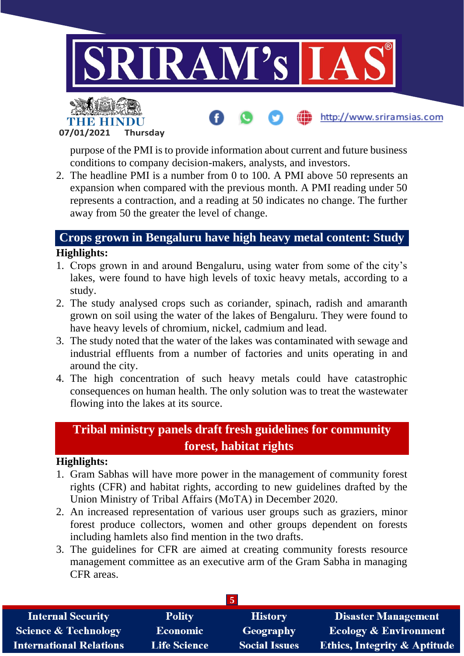

**07/01/2021 Thursday**

purpose of the PMI is to provide information about current and future business conditions to company decision-makers, analysts, and investors.

2. The headline PMI is a number from 0 to 100. A PMI above 50 represents an expansion when compared with the previous month. A PMI reading under 50 represents a contraction, and a reading at 50 indicates no change. The further away from 50 the greater the level of change.

### **Crops grown in Bengaluru have high heavy metal content: Study Highlights:**

- 1. Crops grown in and around Bengaluru, using water from some of the city's lakes, were found to have high levels of toxic heavy metals, according to a study.
- 2. The study analysed crops such as coriander, spinach, radish and amaranth grown on soil using the water of the lakes of Bengaluru. They were found to have heavy levels of chromium, nickel, cadmium and lead.
- 3. The study noted that the water of the lakes was contaminated with sewage and industrial effluents from a number of factories and units operating in and around the city.
- 4. The high concentration of such heavy metals could have catastrophic consequences on human health. The only solution was to treat the wastewater flowing into the lakes at its source.

## **Tribal ministry panels draft fresh guidelines for community forest, habitat rights**

- 1. Gram Sabhas will have more power in the management of community forest rights (CFR) and habitat rights, according to new guidelines drafted by the Union Ministry of Tribal Affairs (MoTA) in December 2020.
- 2. An increased representation of various user groups such as graziers, minor forest produce collectors, women and other groups dependent on forests including hamlets also find mention in the two drafts.
- 3. The guidelines for CFR are aimed at creating community forests resource management committee as an executive arm of the Gram Sabha in managing CFR areas.

| <b>Internal Security</b>        | <b>Polity</b>       | <b>History</b>       | <b>Disaster Management</b>              |
|---------------------------------|---------------------|----------------------|-----------------------------------------|
| <b>Science &amp; Technology</b> | <b>Economic</b>     | Geography            | <b>Ecology &amp; Environment</b>        |
| <b>International Relations</b>  | <b>Life Science</b> | <b>Social Issues</b> | <b>Ethics, Integrity &amp; Aptitude</b> |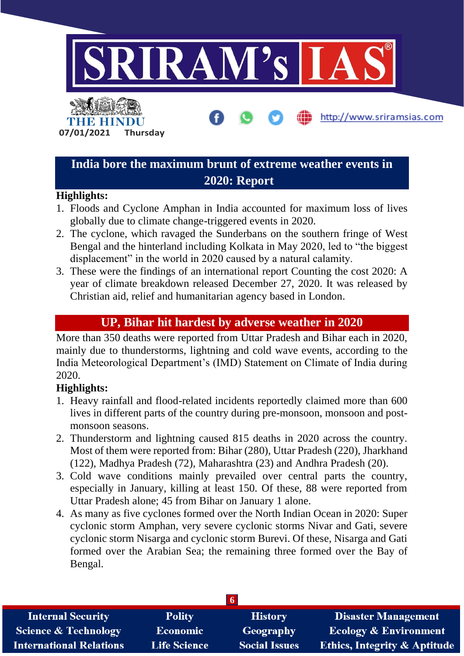

## **India bore the maximum brunt of extreme weather events in 2020: Report**

#### **Highlights:**

- 1. Floods and Cyclone Amphan in India accounted for maximum loss of lives globally due to climate change-triggered events in 2020.
- 2. The cyclone, which ravaged the Sunderbans on the southern fringe of West Bengal and the hinterland including Kolkata in May 2020, led to "the biggest displacement" in the world in 2020 caused by a natural calamity.
- 3. These were the findings of an international report Counting the cost 2020: A year of climate breakdown released December 27, 2020. It was released by Christian aid, relief and humanitarian agency based in London.

### **UP, Bihar hit hardest by adverse weather in 2020**

More than 350 deaths were reported from Uttar Pradesh and Bihar each in 2020, mainly due to thunderstorms, lightning and cold wave events, according to the India Meteorological Department's (IMD) Statement on Climate of India during 2020.

- 1. Heavy rainfall and flood-related incidents reportedly claimed more than 600 lives in different parts of the country during pre-monsoon, monsoon and postmonsoon seasons.
- 2. Thunderstorm and lightning caused 815 deaths in 2020 across the country. Most of them were reported from: Bihar (280), Uttar Pradesh (220), Jharkhand (122), Madhya Pradesh (72), Maharashtra (23) and Andhra Pradesh (20).
- 3. Cold wave conditions mainly prevailed over central parts the country, especially in January, killing at least 150. Of these, 88 were reported from Uttar Pradesh alone; 45 from Bihar on January 1 alone.
- 4. As many as five cyclones formed over the North Indian Ocean in 2020: Super cyclonic storm Amphan, very severe cyclonic storms Nivar and Gati, severe cyclonic storm Nisarga and cyclonic storm Burevi. Of these, Nisarga and Gati formed over the Arabian Sea; the remaining three formed over the Bay of Bengal.

| <b>Internal Security</b>        | <b>Polity</b>       | <b>History</b>       | <b>Disaster Management</b>              |
|---------------------------------|---------------------|----------------------|-----------------------------------------|
| <b>Science &amp; Technology</b> | <b>Economic</b>     | Geography            | <b>Ecology &amp; Environment</b>        |
| <b>International Relations</b>  | <b>Life Science</b> | <b>Social Issues</b> | <b>Ethics, Integrity &amp; Aptitude</b> |